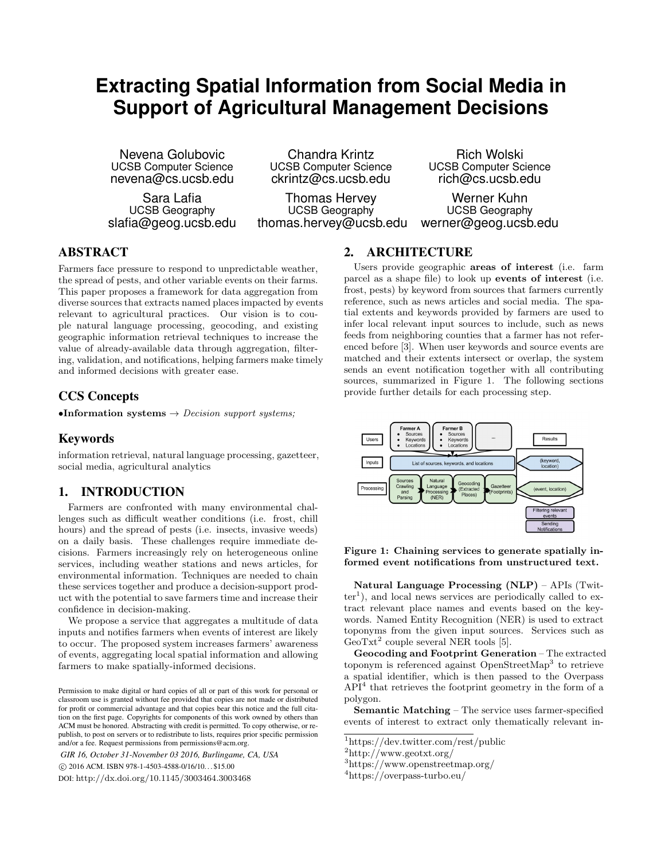# **Extracting Spatial Information from Social Media in Support of Agricultural Management Decisions**

Nevena Golubovic UCSB Computer Science nevena@cs.ucsb.edu

Sara Lafia UCSB Geography slafia@geog.ucsb.edu

Chandra Krintz UCSB Computer Science ckrintz@cs.ucsb.edu

Thomas Hervey UCSB Geography thomas.hervey@ucsb.edu

Rich Wolski UCSB Computer Science rich@cs.ucsb.edu

Werner Kuhn UCSB Geography werner@geog.ucsb.edu

## ABSTRACT

Farmers face pressure to respond to unpredictable weather, the spread of pests, and other variable events on their farms. This paper proposes a framework for data aggregation from diverse sources that extracts named places impacted by events relevant to agricultural practices. Our vision is to couple natural language processing, geocoding, and existing geographic information retrieval techniques to increase the value of already-available data through aggregation, filtering, validation, and notifications, helping farmers make timely and informed decisions with greater ease.

### CCS Concepts

•Information systems  $\rightarrow$  *Decision support systems*;

#### Keywords

information retrieval, natural language processing, gazetteer, social media, agricultural analytics

## 1. INTRODUCTION

Farmers are confronted with many environmental challenges such as difficult weather conditions (i.e. frost, chill hours) and the spread of pests (i.e. insects, invasive weeds) on a daily basis. These challenges require immediate decisions. Farmers increasingly rely on heterogeneous online services, including weather stations and news articles, for environmental information. Techniques are needed to chain these services together and produce a decision-support product with the potential to save farmers time and increase their confidence in decision-making.

We propose a service that aggregates a multitude of data inputs and notifies farmers when events of interest are likely to occur. The proposed system increases farmers' awareness of events, aggregating local spatial information and allowing farmers to make spatially-informed decisions.

*GIR 16, October 31-November 03 2016, Burlingame, CA, USA* c 2016 ACM. ISBN 978-1-4503-4588-0/16/10. . . \$15.00

DOI: http://dx.doi.org/10.1145/3003464.3003468

#### 2. ARCHITECTURE

Users provide geographic areas of interest (i.e. farm parcel as a shape file) to look up events of interest (i.e. frost, pests) by keyword from sources that farmers currently reference, such as news articles and social media. The spatial extents and keywords provided by farmers are used to infer local relevant input sources to include, such as news feeds from neighboring counties that a farmer has not referenced before [3]. When user keywords and source events are matched and their extents intersect or overlap, the system sends an event notification together with all contributing sources, summarized in Figure 1. The following sections provide further details for each processing step.



Figure 1: Chaining services to generate spatially informed event notifications from unstructured text.

Natural Language Processing (NLP) – APIs (Twit $ter<sup>1</sup>$ ), and local news services are periodically called to extract relevant place names and events based on the keywords. Named Entity Recognition (NER) is used to extract toponyms from the given input sources. Services such as GeoTxt<sup>2</sup> couple several NER tools [5].

Geocoding and Footprint Generation – The extracted toponym is referenced against OpenStreetMap<sup>3</sup> to retrieve a spatial identifier, which is then passed to the Overpass  $API<sup>4</sup>$  that retrieves the footprint geometry in the form of a polygon.

Semantic Matching – The service uses farmer-specified events of interest to extract only thematically relevant in-

<sup>1</sup>https://dev.twitter.com/rest/public

<sup>4</sup>https://overpass-turbo.eu/

Permission to make digital or hard copies of all or part of this work for personal or classroom use is granted without fee provided that copies are not made or distributed for profit or commercial advantage and that copies bear this notice and the full citation on the first page. Copyrights for components of this work owned by others than ACM must be honored. Abstracting with credit is permitted. To copy otherwise, or republish, to post on servers or to redistribute to lists, requires prior specific permission and/or a fee. Request permissions from permissions@acm.org.

<sup>2</sup>http://www.geotxt.org/

<sup>3</sup>https://www.openstreetmap.org/